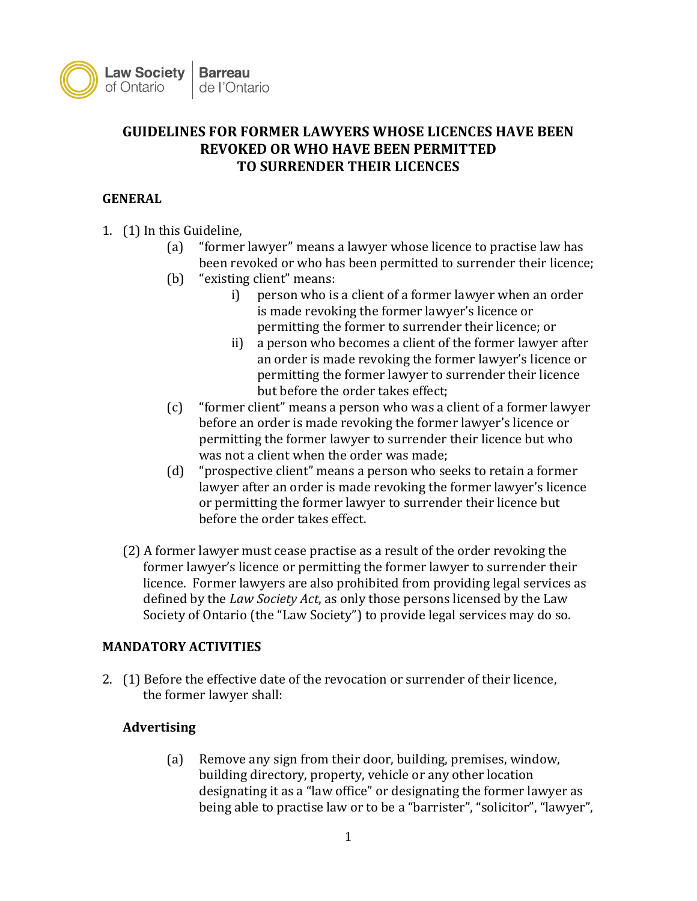

# **GUIDELINES FOR FORMER LAWYERS WHOSE LICENCES HAVE BEEN REVOKED OR WHO HAVE BEEN PERMITTED TO SURRENDER THEIR LICENCES**

### **GENERAL**

- 1. (1) In this Guideline,
	- (a) "former lawyer" means a lawyer whose licence to practise law has been revoked or who has been permitted to surrender their licence;
	- (b) "existing client" means:
		- i) person who is a client of a former lawyer when an order is made revoking the former lawyer's licence or permitting the former to surrender their licence; or
		- ii) a person who becomes a client of the former lawyer after an order is made revoking the former lawyer's licence or permitting the former lawyer to surrender their licence but before the order takes effect;
	- (c) "former client" means a person who was a client of a former lawyer before an order is made revoking the former lawyer's licence or permitting the former lawyer to surrender their licence but who was not a client when the order was made;
	- (d) "prospective client" means a person who seeks to retain a former lawyer after an order is made revoking the former lawyer's licence or permitting the former lawyer to surrender their licence but before the order takes effect.
	- (2) A former lawyer must cease practise as a result of the order revoking the former lawyer's licence or permitting the former lawyer to surrender their licence. Former lawyers are also prohibited from providing legal services as defined by the *Law Society Act*, as only those persons licensed by the Law Society of Ontario (the "Law Society") to provide legal services may do so.

#### **MANDATORY ACTIVITIES**

2. (1) Before the effective date of the revocation or surrender of their licence, the former lawyer shall:

## **Advertising**

(a) Remove any sign from their door, building, premises, window, building directory, property, vehicle or any other location designating it as a "law office" or designating the former lawyer as being able to practise law or to be a "barrister", "solicitor", "lawyer",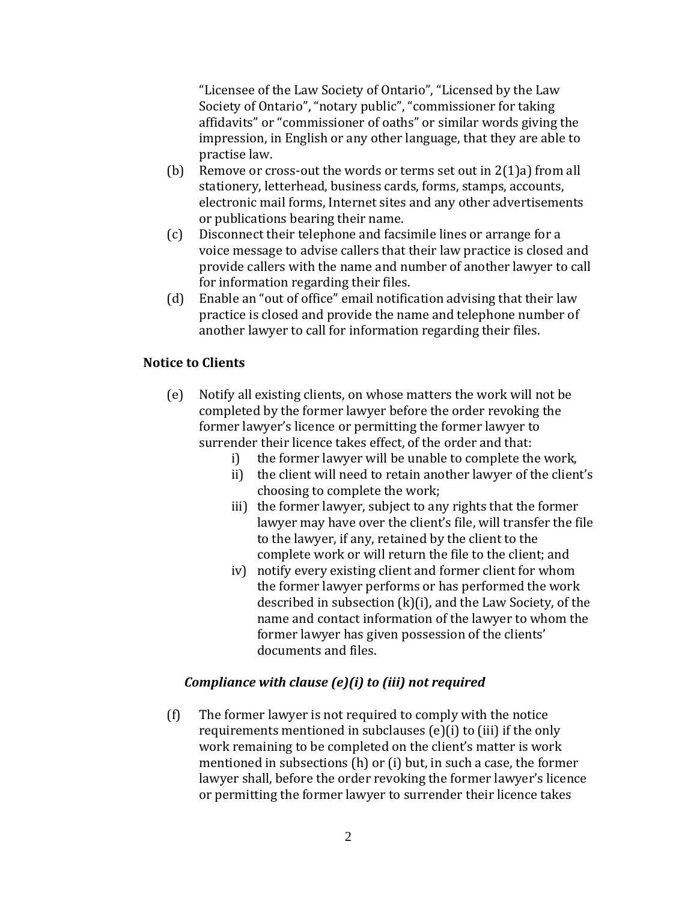"Licensee of the Law Society of Ontario", "Licensed by the Law Society of Ontario", "notary public", "commissioner for taking affidavits" or "commissioner of oaths" or similar words giving the impression, in English or any other language, that they are able to practise law.

- (b) Remove or cross-out the words or terms set out in 2(1)a) from all stationery, letterhead, business cards, forms, stamps, accounts, electronic mail forms, Internet sites and any other advertisements or publications bearing their name.
- (c) Disconnect their telephone and facsimile lines or arrange for a voice message to advise callers that their law practice is closed and provide callers with the name and number of another lawyer to call for information regarding their files.
- (d) Enable an "out of office" email notification advising that their law practice is closed and provide the name and telephone number of another lawyer to call for information regarding their files.

### **Notice to Clients**

- (e) Notify all existing clients, on whose matters the work will not be completed by the former lawyer before the order revoking the former lawyer's licence or permitting the former lawyer to surrender their licence takes effect, of the order and that:
	- i) the former lawyer will be unable to complete the work,
	- ii) the client will need to retain another lawyer of the client's choosing to complete the work;
	- iii) the former lawyer, subject to any rights that the former lawyer may have over the client's file, will transfer the file to the lawyer, if any, retained by the client to the complete work or will return the file to the client; and
	- iv) notify every existing client and former client for whom the former lawyer performs or has performed the work described in subsection (k)(i), and the Law Society, of the name and contact information of the lawyer to whom the former lawyer has given possession of the clients' documents and files.

## *Compliance with clause (e)(i) to (iii) not required*

(f) The former lawyer is not required to comply with the notice requirements mentioned in subclauses (e)(i) to (iii) if the only work remaining to be completed on the client's matter is work mentioned in subsections (h) or (i) but, in such a case, the former lawyer shall, before the order revoking the former lawyer's licence or permitting the former lawyer to surrender their licence takes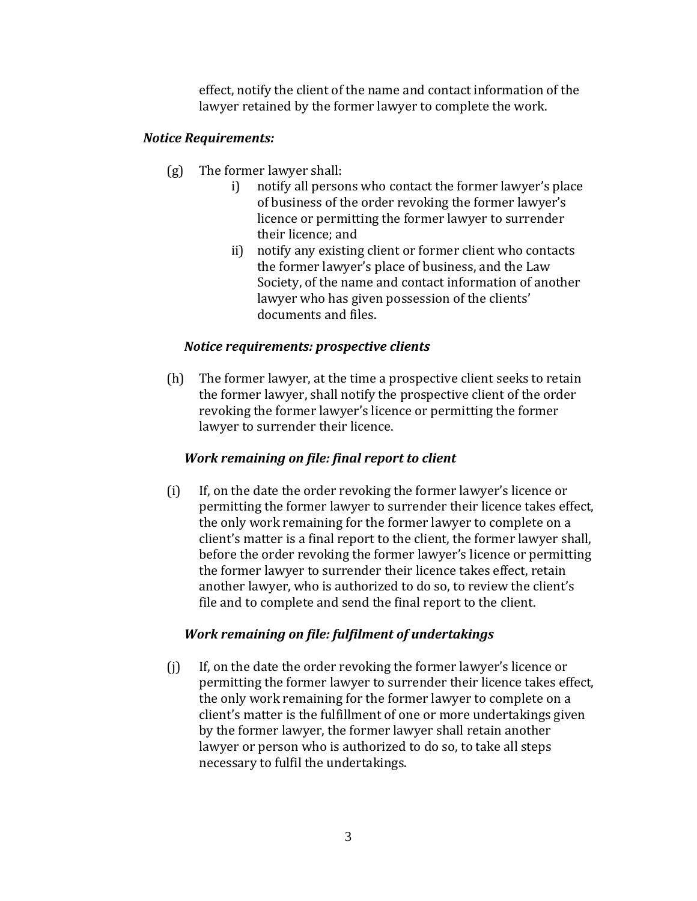effect, notify the client of the name and contact information of the lawyer retained by the former lawyer to complete the work.

#### *Notice Requirements:*

- (g) The former lawyer shall:
	- i) notify all persons who contact the former lawyer's place of business of the order revoking the former lawyer's licence or permitting the former lawyer to surrender their licence; and
	- ii) notify any existing client or former client who contacts the former lawyer's place of business, and the Law Society, of the name and contact information of another lawyer who has given possession of the clients' documents and files.

#### *Notice requirements: prospective clients*

(h) The former lawyer, at the time a prospective client seeks to retain the former lawyer, shall notify the prospective client of the order revoking the former lawyer's licence or permitting the former lawyer to surrender their licence.

#### *Work remaining on file: final report to client*

(i) If, on the date the order revoking the former lawyer's licence or permitting the former lawyer to surrender their licence takes effect, the only work remaining for the former lawyer to complete on a client's matter is a final report to the client, the former lawyer shall, before the order revoking the former lawyer's licence or permitting the former lawyer to surrender their licence takes effect, retain another lawyer, who is authorized to do so, to review the client's file and to complete and send the final report to the client.

#### *Work remaining on file: fulfilment of undertakings*

(j) If, on the date the order revoking the former lawyer's licence or permitting the former lawyer to surrender their licence takes effect, the only work remaining for the former lawyer to complete on a client's matter is the fulfillment of one or more undertakings given by the former lawyer, the former lawyer shall retain another lawyer or person who is authorized to do so, to take all steps necessary to fulfil the undertakings.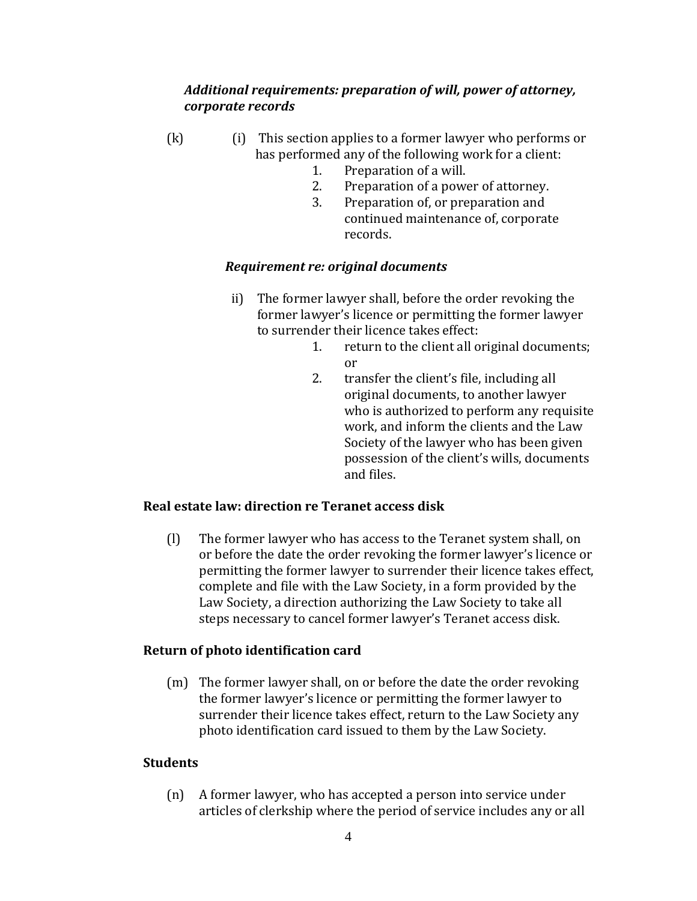#### *Additional requirements: preparation of will, power of attorney, corporate records*

- (k) (i) This section applies to a former lawyer who performs or has performed any of the following work for a client:
	- 1. Preparation of a will.
	- 2. Preparation of a power of attorney.
	- 3. Preparation of, or preparation and continued maintenance of, corporate records.

#### *Requirement re: original documents*

- ii) The former lawyer shall, before the order revoking the former lawyer's licence or permitting the former lawyer to surrender their licence takes effect:
	- 1. return to the client all original documents; or
	- 2. transfer the client's file, including all original documents, to another lawyer who is authorized to perform any requisite work, and inform the clients and the Law Society of the lawyer who has been given possession of the client's wills, documents and files.

#### **Real estate law: direction re Teranet access disk**

(l) The former lawyer who has access to the Teranet system shall, on or before the date the order revoking the former lawyer's licence or permitting the former lawyer to surrender their licence takes effect, complete and file with the Law Society, in a form provided by the Law Society, a direction authorizing the Law Society to take all steps necessary to cancel former lawyer's Teranet access disk.

#### **Return of photo identification card**

(m) The former lawyer shall, on or before the date the order revoking the former lawyer's licence or permitting the former lawyer to surrender their licence takes effect, return to the Law Society any photo identification card issued to them by the Law Society.

## **Students**

(n) A former lawyer, who has accepted a person into service under articles of clerkship where the period of service includes any or all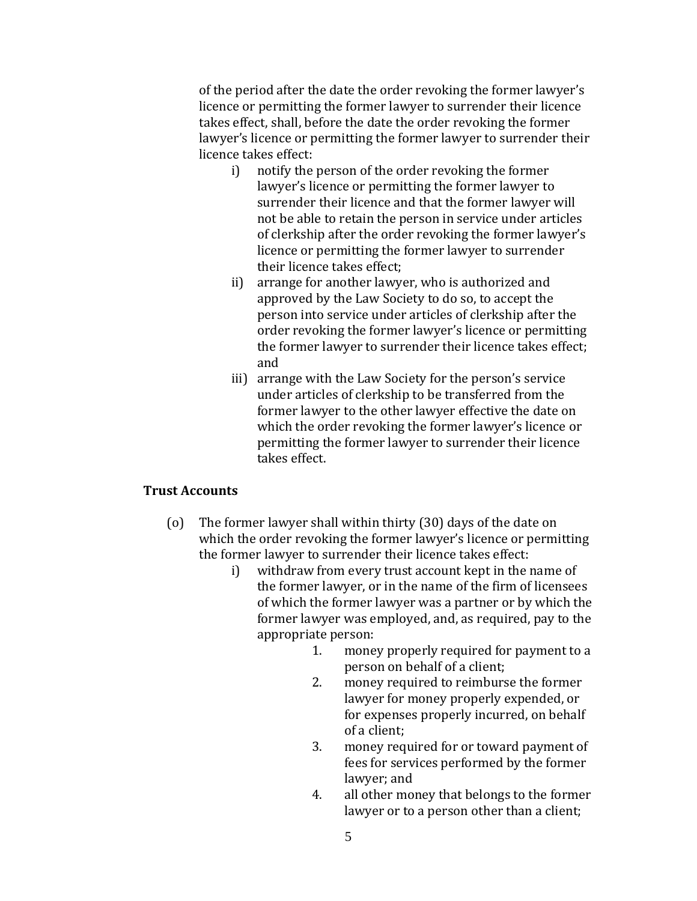of the period after the date the order revoking the former lawyer's licence or permitting the former lawyer to surrender their licence takes effect, shall, before the date the order revoking the former lawyer's licence or permitting the former lawyer to surrender their licence takes effect:

- i) notify the person of the order revoking the former lawyer's licence or permitting the former lawyer to surrender their licence and that the former lawyer will not be able to retain the person in service under articles of clerkship after the order revoking the former lawyer's licence or permitting the former lawyer to surrender their licence takes effect;
- ii) arrange for another lawyer, who is authorized and approved by the Law Society to do so, to accept the person into service under articles of clerkship after the order revoking the former lawyer's licence or permitting the former lawyer to surrender their licence takes effect; and
- iii) arrange with the Law Society for the person's service under articles of clerkship to be transferred from the former lawyer to the other lawyer effective the date on which the order revoking the former lawyer's licence or permitting the former lawyer to surrender their licence takes effect.

#### **Trust Accounts**

- (o) The former lawyer shall within thirty (30) days of the date on which the order revoking the former lawyer's licence or permitting the former lawyer to surrender their licence takes effect:
	- i) withdraw from every trust account kept in the name of the former lawyer, or in the name of the firm of licensees of which the former lawyer was a partner or by which the former lawyer was employed, and, as required, pay to the appropriate person:
		- 1. money properly required for payment to a person on behalf of a client;
		- 2. money required to reimburse the former lawyer for money properly expended, or for expenses properly incurred, on behalf of a client;
		- 3. money required for or toward payment of fees for services performed by the former lawyer; and
		- 4. all other money that belongs to the former lawyer or to a person other than a client;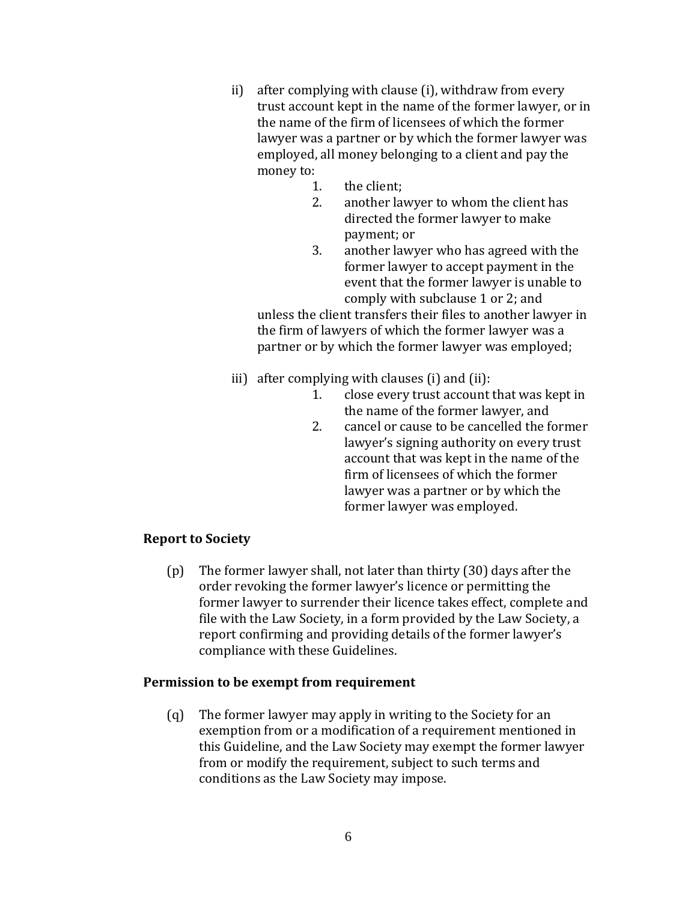- ii) after complying with clause (i), withdraw from every trust account kept in the name of the former lawyer, or in the name of the firm of licensees of which the former lawyer was a partner or by which the former lawyer was employed, all money belonging to a client and pay the money to:
	- 1. the client;
	- 2. another lawyer to whom the client has directed the former lawyer to make payment; or
	- 3. another lawyer who has agreed with the former lawyer to accept payment in the event that the former lawyer is unable to comply with subclause 1 or 2; and

unless the client transfers their files to another lawyer in the firm of lawyers of which the former lawyer was a partner or by which the former lawyer was employed;

- iii) after complying with clauses (i) and (ii):
	- 1. close every trust account that was kept in the name of the former lawyer, and
	- 2. cancel or cause to be cancelled the former lawyer's signing authority on every trust account that was kept in the name of the firm of licensees of which the former lawyer was a partner or by which the former lawyer was employed.

## **Report to Society**

(p) The former lawyer shall, not later than thirty (30) days after the order revoking the former lawyer's licence or permitting the former lawyer to surrender their licence takes effect, complete and file with the Law Society, in a form provided by the Law Society, a report confirming and providing details of the former lawyer's compliance with these Guidelines.

#### **Permission to be exempt from requirement**

(q) The former lawyer may apply in writing to the Society for an exemption from or a modification of a requirement mentioned in this Guideline, and the Law Society may exempt the former lawyer from or modify the requirement, subject to such terms and conditions as the Law Society may impose.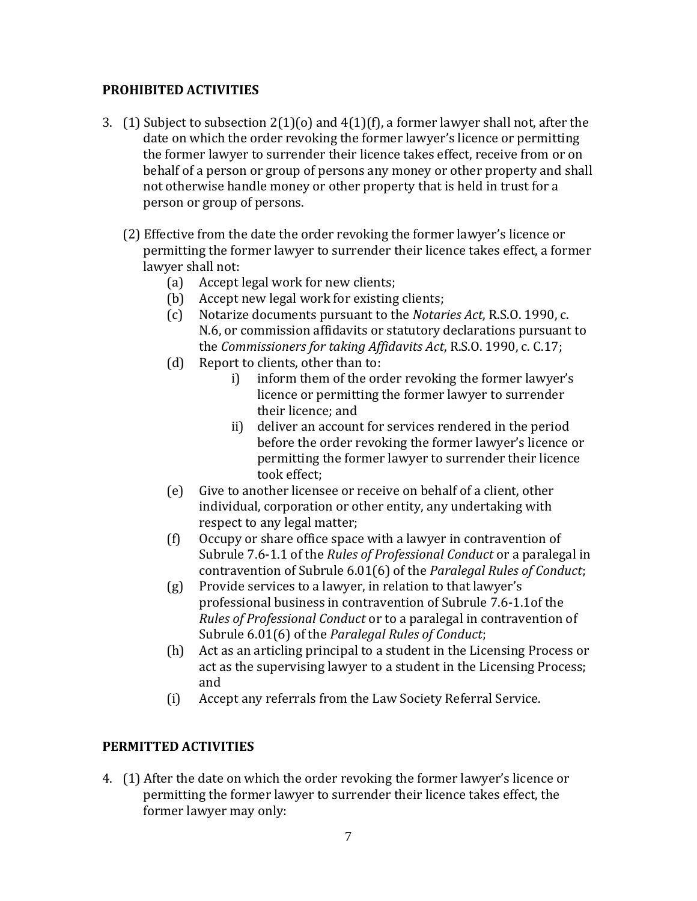### **PROHIBITED ACTIVITIES**

- 3. (1) Subject to subsection  $2(1)(0)$  and  $4(1)(f)$ , a former lawyer shall not, after the date on which the order revoking the former lawyer's licence or permitting the former lawyer to surrender their licence takes effect, receive from or on behalf of a person or group of persons any money or other property and shall not otherwise handle money or other property that is held in trust for a person or group of persons.
	- (2) Effective from the date the order revoking the former lawyer's licence or permitting the former lawyer to surrender their licence takes effect, a former lawyer shall not:
		- (a) Accept legal work for new clients;
		- (b) Accept new legal work for existing clients;
		- (c) Notarize documents pursuant to the *Notaries Act*, R.S.O. 1990, c. N.6, or commission affidavits or statutory declarations pursuant to the *Commissioners for taking Affidavits Act*, R.S.O. 1990, c. C.17;
		- (d) Report to clients, other than to:
			- i) inform them of the order revoking the former lawyer's licence or permitting the former lawyer to surrender their licence; and
			- ii) deliver an account for services rendered in the period before the order revoking the former lawyer's licence or permitting the former lawyer to surrender their licence took effect;
		- (e) Give to another licensee or receive on behalf of a client, other individual, corporation or other entity, any undertaking with respect to any legal matter;
		- (f) Occupy or share office space with a lawyer in contravention of Subrule 7.6-1.1 of the *Rules of Professional Conduct* or a paralegal in contravention of Subrule 6.01(6) of the *Paralegal Rules of Conduct*;
		- (g) Provide services to a lawyer, in relation to that lawyer's professional business in contravention of Subrule 7.6-1.1of the *Rules of Professional Conduct* or to a paralegal in contravention of Subrule 6.01(6) of the *Paralegal Rules of Conduct*;
		- (h) Act as an articling principal to a student in the Licensing Process or act as the supervising lawyer to a student in the Licensing Process; and
		- (i) Accept any referrals from the Law Society Referral Service.

## **PERMITTED ACTIVITIES**

4. (1) After the date on which the order revoking the former lawyer's licence or permitting the former lawyer to surrender their licence takes effect, the former lawyer may only: